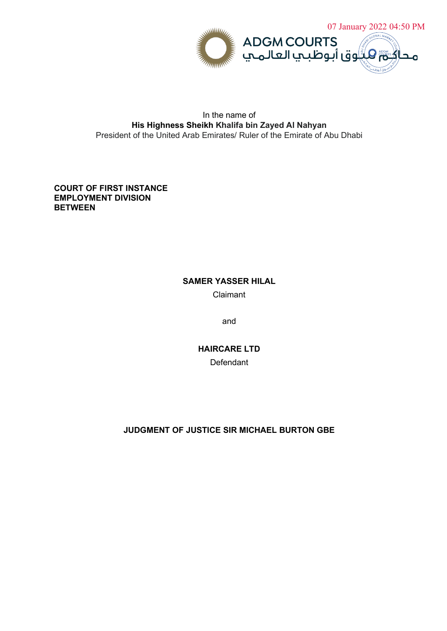

# In the name of **His Highness Sheikh Khalifa bin Zayed Al Nahyan** President of the United Arab Emirates/ Ruler of the Emirate of Abu Dhabi

# **COURT OF FIRST INSTANCE EMPLOYMENT DIVISION BETWEEN**

# **SAMER YASSER HILAL**

Claimant

and

**HAIRCARE LTD Defendant** 

# **JUDGMENT OF JUSTICE SIR MICHAEL BURTON GBE**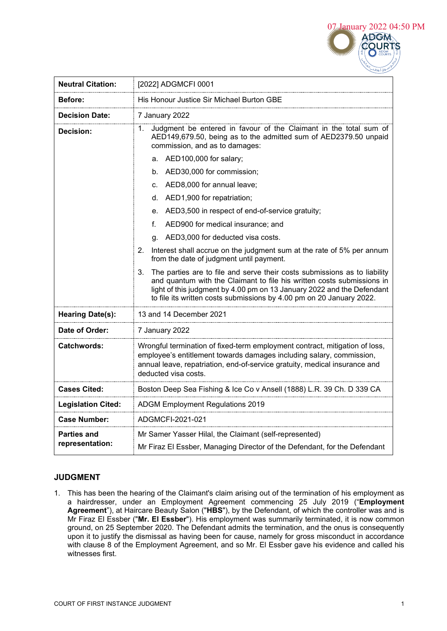

| <b>Neutral Citation:</b>       | [2022] ADGMCFI 0001                                                                                                                                                                                                                                                                                         |
|--------------------------------|-------------------------------------------------------------------------------------------------------------------------------------------------------------------------------------------------------------------------------------------------------------------------------------------------------------|
| Before:                        | His Honour Justice Sir Michael Burton GBE                                                                                                                                                                                                                                                                   |
| <b>Decision Date:</b>          | 7 January 2022                                                                                                                                                                                                                                                                                              |
| Decision:                      | Judgment be entered in favour of the Claimant in the total sum of<br>1.<br>AED149,679.50, being as to the admitted sum of AED2379.50 unpaid<br>commission, and as to damages:                                                                                                                               |
|                                | AED100,000 for salary;<br>a.                                                                                                                                                                                                                                                                                |
|                                | AED30,000 for commission;<br>b.                                                                                                                                                                                                                                                                             |
|                                | AED8,000 for annual leave;<br>C.                                                                                                                                                                                                                                                                            |
|                                | AED1,900 for repatriation;<br>d.                                                                                                                                                                                                                                                                            |
|                                | AED3,500 in respect of end-of-service gratuity;<br>e.                                                                                                                                                                                                                                                       |
|                                | AED900 for medical insurance; and<br>f.                                                                                                                                                                                                                                                                     |
|                                | AED3,000 for deducted visa costs.<br>q.                                                                                                                                                                                                                                                                     |
|                                | 2.<br>Interest shall accrue on the judgment sum at the rate of 5% per annum<br>from the date of judgment until payment.                                                                                                                                                                                     |
|                                | The parties are to file and serve their costs submissions as to liability<br>3.<br>and quantum with the Claimant to file his written costs submissions in<br>light of this judgment by 4.00 pm on 13 January 2022 and the Defendant<br>to file its written costs submissions by 4.00 pm on 20 January 2022. |
| <b>Hearing Date(s):</b>        | 13 and 14 December 2021                                                                                                                                                                                                                                                                                     |
| Date of Order:                 | 7 January 2022                                                                                                                                                                                                                                                                                              |
| <b>Catchwords:</b>             | Wrongful termination of fixed-term employment contract, mitigation of loss,<br>employee's entitlement towards damages including salary, commission,<br>annual leave, repatriation, end-of-service gratuity, medical insurance and<br>deducted visa costs.                                                   |
| <b>Cases Cited:</b>            | Boston Deep Sea Fishing & Ice Co v Ansell (1888) L.R. 39 Ch. D 339 CA                                                                                                                                                                                                                                       |
| <b>Legislation Cited:</b>      | <b>ADGM Employment Regulations 2019</b>                                                                                                                                                                                                                                                                     |
| <b>Case Number:</b>            | ADGMCFI-2021-021                                                                                                                                                                                                                                                                                            |
| Parties and<br>representation: | Mr Samer Yasser Hilal, the Claimant (self-represented)<br>Mr Firaz El Essber, Managing Director of the Defendant, for the Defendant                                                                                                                                                                         |

# **JUDGMENT**

1. This has been the hearing of the Claimant's claim arising out of the termination of his employment as a hairdresser, under an Employment Agreement commencing 25 July 2019 ("**Employment Agreement**"), at Haircare Beauty Salon ("**HBS**"), by the Defendant, of which the controller was and is Mr Firaz El Essber ("**Mr. El Essber**"). His employment was summarily terminated, it is now common ground, on 25 September 2020. The Defendant admits the termination, and the onus is consequently upon it to justify the dismissal as having been for cause, namely for gross misconduct in accordance with clause 8 of the Employment Agreement, and so Mr. El Essber gave his evidence and called his witnesses first.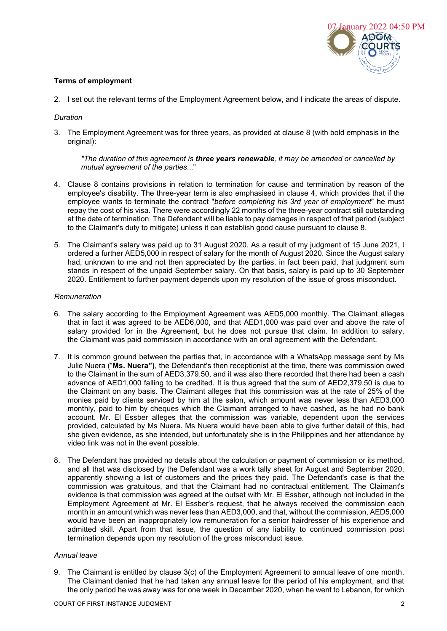

## **Terms of employment**

2. I set out the relevant terms of the Employment Agreement below, and I indicate the areas of dispute.

#### *Duration*

3. The Employment Agreement was for three years, as provided at clause 8 (with bold emphasis in the original):

*"The duration of this agreement is three years renewable, it may be amended or cancelled by mutual agreement of the parties*..."

- 4. Clause 8 contains provisions in relation to termination for cause and termination by reason of the employee's disability. The three-year term is also emphasised in clause 4, which provides that if the employee wants to terminate the contract "*before completing his 3rd year of employment*" he must repay the cost of his visa. There were accordingly 22 months of the three-year contract still outstanding at the date of termination. The Defendant will be liable to pay damages in respect of that period (subject to the Claimant's duty to mitigate) unless it can establish good cause pursuant to clause 8.
- 5. The Claimant's salary was paid up to 31 August 2020. As a result of my judgment of 15 June 2021, I ordered a further AED5,000 in respect of salary for the month of August 2020. Since the August salary had, unknown to me and not then appreciated by the parties, in fact been paid, that judgment sum stands in respect of the unpaid September salary. On that basis, salary is paid up to 30 September 2020. Entitlement to further payment depends upon my resolution of the issue of gross misconduct.

#### *Remuneration*

- 6. The salary according to the Employment Agreement was AED5,000 monthly. The Claimant alleges that in fact it was agreed to be AED6,000, and that AED1,000 was paid over and above the rate of salary provided for in the Agreement, but he does not pursue that claim. In addition to salary, the Claimant was paid commission in accordance with an oral agreement with the Defendant.
- 7. It is common ground between the parties that, in accordance with a WhatsApp message sent by Ms Julie Nuera ("**Ms. Nuera")**, the Defendant's then receptionist at the time, there was commission owed to the Claimant in the sum of AED3,379.50, and it was also there recorded that there had been a cash advance of AED1,000 falling to be credited. It is thus agreed that the sum of AED2,379.50 is due to the Claimant on any basis. The Claimant alleges that this commission was at the rate of 25% of the monies paid by clients serviced by him at the salon, which amount was never less than AED3,000 monthly, paid to him by cheques which the Claimant arranged to have cashed, as he had no bank account. Mr. El Essber alleges that the commission was variable, dependent upon the services provided, calculated by Ms Nuera. Ms Nuera would have been able to give further detail of this, had she given evidence, as she intended, but unfortunately she is in the Philippines and her attendance by video link was not in the event possible.
- 8. The Defendant has provided no details about the calculation or payment of commission or its method, and all that was disclosed by the Defendant was a work tally sheet for August and September 2020, apparently showing a list of customers and the prices they paid. The Defendant's case is that the commission was gratuitous, and that the Claimant had no contractual entitlement. The Claimant's evidence is that commission was agreed at the outset with Mr. El Essber, although not included in the Employment Agreement at Mr. El Essber's request, that he always received the commission each month in an amount which was never less than AED3,000, and that, without the commission, AED5,000 would have been an inappropriately low remuneration for a senior hairdresser of his experience and admitted skill. Apart from that issue, the question of any liability to continued commission post termination depends upon my resolution of the gross misconduct issue.

#### *Annual leave*

9. The Claimant is entitled by clause 3(c) of the Employment Agreement to annual leave of one month. The Claimant denied that he had taken any annual leave for the period of his employment, and that the only period he was away was for one week in December 2020, when he went to Lebanon, for which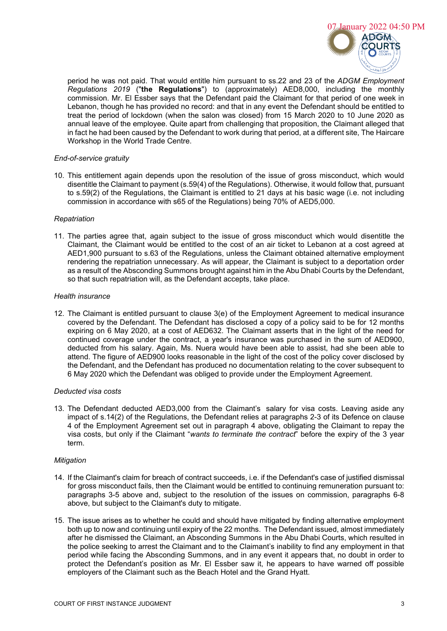

period he was not paid. That would entitle him pursuant to ss.22 and 23 of the *ADGM Employment Regulations 2019* ("**the Regulations**") to (approximately) AED8,000, including the monthly commission. Mr. El Essber says that the Defendant paid the Claimant for that period of one week in Lebanon, though he has provided no record: and that in any event the Defendant should be entitled to treat the period of lockdown (when the salon was closed) from 15 March 2020 to 10 June 2020 as annual leave of the employee. Quite apart from challenging that proposition, the Claimant alleged that in fact he had been caused by the Defendant to work during that period, at a different site, The Haircare Workshop in the World Trade Centre.

### *End-of-service gratuity*

10. This entitlement again depends upon the resolution of the issue of gross misconduct, which would disentitle the Claimant to payment (s.59(4) of the Regulations). Otherwise, it would follow that, pursuant to s.59(2) of the Regulations, the Claimant is entitled to 21 days at his basic wage (i.e. not including commission in accordance with s65 of the Regulations) being 70% of AED5,000.

### *Repatriation*

11. The parties agree that, again subject to the issue of gross misconduct which would disentitle the Claimant, the Claimant would be entitled to the cost of an air ticket to Lebanon at a cost agreed at AED1,900 pursuant to s.63 of the Regulations, unless the Claimant obtained alternative employment rendering the repatriation unnecessary. As will appear, the Claimant is subject to a deportation order as a result of the Absconding Summons brought against him in the Abu Dhabi Courts by the Defendant, so that such repatriation will, as the Defendant accepts, take place.

### *Health insurance*

12. The Claimant is entitled pursuant to clause 3(e) of the Employment Agreement to medical insurance covered by the Defendant. The Defendant has disclosed a copy of a policy said to be for 12 months expiring on 6 May 2020, at a cost of AED632. The Claimant asserts that in the light of the need for continued coverage under the contract, a year's insurance was purchased in the sum of AED900, deducted from his salary. Again, Ms. Nuera would have been able to assist, had she been able to attend. The figure of AED900 looks reasonable in the light of the cost of the policy cover disclosed by the Defendant, and the Defendant has produced no documentation relating to the cover subsequent to 6 May 2020 which the Defendant was obliged to provide under the Employment Agreement.

# *Deducted visa costs*

13. The Defendant deducted AED3,000 from the Claimant's salary for visa costs. Leaving aside any impact of s.14(2) of the Regulations, the Defendant relies at paragraphs 2-3 of its Defence on clause 4 of the Employment Agreement set out in paragraph 4 above, obligating the Claimant to repay the visa costs, but only if the Claimant "*wants to terminate the contract*" before the expiry of the 3 year term.

# *Mitigation*

- 14. If the Claimant's claim for breach of contract succeeds, i.e. if the Defendant's case of justified dismissal for gross misconduct fails, then the Claimant would be entitled to continuing remuneration pursuant to: paragraphs 3-5 above and, subject to the resolution of the issues on commission, paragraphs 6-8 above, but subject to the Claimant's duty to mitigate.
- 15. The issue arises as to whether he could and should have mitigated by finding alternative employment both up to now and continuing until expiry of the 22 months. The Defendant issued, almost immediately after he dismissed the Claimant, an Absconding Summons in the Abu Dhabi Courts, which resulted in the police seeking to arrest the Claimant and to the Claimant's inability to find any employment in that period while facing the Absconding Summons, and in any event it appears that, no doubt in order to protect the Defendant's position as Mr. El Essber saw it, he appears to have warned off possible employers of the Claimant such as the Beach Hotel and the Grand Hyatt.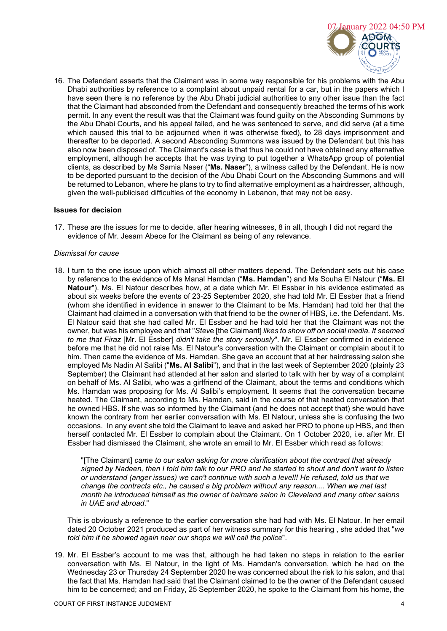

16. The Defendant asserts that the Claimant was in some way responsible for his problems with the Abu Dhabi authorities by reference to a complaint about unpaid rental for a car, but in the papers which I have seen there is no reference by the Abu Dhabi judicial authorities to any other issue than the fact that the Claimant had absconded from the Defendant and consequently breached the terms of his work permit. In any event the result was that the Claimant was found guilty on the Absconding Summons by the Abu Dhabi Courts, and his appeal failed, and he was sentenced to serve, and did serve (at a time which caused this trial to be adjourned when it was otherwise fixed), to 28 days imprisonment and thereafter to be deported. A second Absconding Summons was issued by the Defendant but this has also now been disposed of. The Claimant's case is that thus he could not have obtained any alternative employment, although he accepts that he was trying to put together a WhatsApp group of potential clients, as described by Ms Samia Naser ("**Ms. Naser**"), a witness called by the Defendant. He is now to be deported pursuant to the decision of the Abu Dhabi Court on the Absconding Summons and will be returned to Lebanon, where he plans to try to find alternative employment as a hairdresser, although, given the well-publicised difficulties of the economy in Lebanon, that may not be easy.

#### **Issues for decision**

17. These are the issues for me to decide, after hearing witnesses, 8 in all, though I did not regard the evidence of Mr. Jesam Abece for the Claimant as being of any relevance.

#### *Dismissal for cause*

18. I turn to the one issue upon which almost all other matters depend. The Defendant sets out his case by reference to the evidence of Ms Manal Hamdan ("**Ms. Hamdan**") and Ms Souha El Natour ("**Ms. El Natour**"). Ms. El Natour describes how, at a date which Mr. El Essber in his evidence estimated as about six weeks before the events of 23-25 September 2020, she had told Mr. El Essber that a friend (whom she identified in evidence in answer to the Claimant to be Ms. Hamdan) had told her that the Claimant had claimed in a conversation with that friend to be the owner of HBS, i.e. the Defendant. Ms. El Natour said that she had called Mr. El Essber and he had told her that the Claimant was not the owner, but was his employee and that "*Stev*e [the Claimant] *likes to show off on social media. It seemed to me that Firaz* [Mr. El Essber] *didn't take the story seriously*". Mr. El Essber confirmed in evidence before me that he did not raise Ms. El Natour's conversation with the Claimant or complain about it to him. Then came the evidence of Ms. Hamdan. She gave an account that at her hairdressing salon she employed Ms Nadin Al Salibi ("**Ms. Al Salibi**"), and that in the last week of September 2020 (plainly 23 September) the Claimant had attended at her salon and started to talk with her by way of a complaint on behalf of Ms. Al Salibi, who was a girlfriend of the Claimant, about the terms and conditions which Ms. Hamdan was proposing for Ms. Al Salibi's employment. It seems that the conversation became heated. The Claimant, according to Ms. Hamdan, said in the course of that heated conversation that he owned HBS. If she was so informed by the Claimant (and he does not accept that) she would have known the contrary from her earlier conversation with Ms. El Natour, unless she is confusing the two occasions. In any event she told the Claimant to leave and asked her PRO to phone up HBS, and then herself contacted Mr. El Essber to complain about the Claimant. On 1 October 2020, i.e. after Mr. El Essber had dismissed the Claimant, she wrote an email to Mr. El Essber which read as follows:

"[The Claimant] *came to our salon asking for more clarification about the contract that already signed by Nadeen, then I told him talk to our PRO and he started to shout and don't want to listen or understand (anger issues) we can't continue with such a level!! He refused, told us that we change the contracts etc., he caused a big problem without any reason.... When we met last month he introduced himself as the owner of haircare salon in Cleveland and many other salons in UAE and abroad*."

This is obviously a reference to the earlier conversation she had had with Ms. El Natour. In her email dated 20 October 2021 produced as part of her witness summary for this hearing , she added that "*we told him if he showed again near our shops we will call the police*".

19. Mr. El Essber's account to me was that, although he had taken no steps in relation to the earlier conversation with Ms. El Natour, in the light of Ms. Hamdan's conversation, which he had on the Wednesday 23 or Thursday 24 September 2020 he was concerned about the risk to his salon, and that the fact that Ms. Hamdan had said that the Claimant claimed to be the owner of the Defendant caused him to be concerned; and on Friday, 25 September 2020, he spoke to the Claimant from his home, the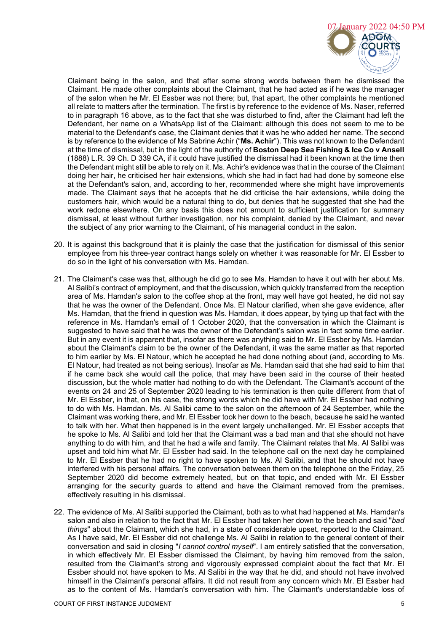

Claimant being in the salon, and that after some strong words between them he dismissed the Claimant. He made other complaints about the Claimant, that he had acted as if he was the manager of the salon when he Mr. El Essber was not there; but, that apart, the other complaints he mentioned all relate to matters after the termination. The first is by reference to the evidence of Ms. Naser, referred to in paragraph 16 above, as to the fact that she was disturbed to find, after the Claimant had left the Defendant, her name on a WhatsApp list of the Claimant: although this does not seem to me to be material to the Defendant's case, the Claimant denies that it was he who added her name. The second is by reference to the evidence of Ms Sabrine Achir ("**Ms. Achir**"). This was not known to the Defendant at the time of dismissal, but in the light of the authority of **Boston Deep Sea Fishing & Ice Co v Ansell** (1888) L.R. 39 Ch. D 339 CA, if it could have justified the dismissal had it been known at the time then the Defendant might still be able to rely on it. Ms. Achir's evidence was that in the course of the Claimant doing her hair, he criticised her hair extensions, which she had in fact had had done by someone else at the Defendant's salon, and, according to her, recommended where she might have improvements made. The Claimant says that he accepts that he did criticise the hair extensions, while doing the customers hair, which would be a natural thing to do, but denies that he suggested that she had the work redone elsewhere. On any basis this does not amount to sufficient justification for summary dismissal, at least without further investigation, nor his complaint, denied by the Claimant, and never the subject of any prior warning to the Claimant, of his managerial conduct in the salon.

- 20. It is against this background that it is plainly the case that the justification for dismissal of this senior employee from his three-year contract hangs solely on whether it was reasonable for Mr. El Essber to do so in the light of his conversation with Ms. Hamdan.
- 21. The Claimant's case was that, although he did go to see Ms. Hamdan to have it out with her about Ms. Al Salibi's contract of employment, and that the discussion, which quickly transferred from the reception area of Ms. Hamdan's salon to the coffee shop at the front, may well have got heated, he did not say that he was the owner of the Defendant. Once Ms. El Natour clarified, when she gave evidence, after Ms. Hamdan, that the friend in question was Ms. Hamdan, it does appear, by tying up that fact with the reference in Ms. Hamdan's email of 1 October 2020, that the conversation in which the Claimant is suggested to have said that he was the owner of the Defendant's salon was in fact some time earlier. But in any event it is apparent that, insofar as there was anything said to Mr. El Essber by Ms. Hamdan about the Claimant's claim to be the owner of the Defendant, it was the same matter as that reported to him earlier by Ms. El Natour, which he accepted he had done nothing about (and, according to Ms. El Natour, had treated as not being serious). Insofar as Ms. Hamdan said that she had said to him that if he came back she would call the police, that may have been said in the course of their heated discussion, but the whole matter had nothing to do with the Defendant. The Claimant's account of the events on 24 and 25 of September 2020 leading to his termination is then quite different from that of Mr. El Essber, in that, on his case, the strong words which he did have with Mr. El Essber had nothing to do with Ms. Hamdan. Ms. Al Salibi came to the salon on the afternoon of 24 September, while the Claimant was working there, and Mr. El Essber took her down to the beach, because he said he wanted to talk with her. What then happened is in the event largely unchallenged. Mr. El Essber accepts that he spoke to Ms. Al Salibi and told her that the Claimant was a bad man and that she should not have anything to do with him, and that he had a wife and family. The Claimant relates that Ms. Al Salibi was upset and told him what Mr. El Essber had said. In the telephone call on the next day he complained to Mr. El Essber that he had no right to have spoken to Ms. Al Salibi, and that he should not have interfered with his personal affairs. The conversation between them on the telephone on the Friday, 25 September 2020 did become extremely heated, but on that topic, and ended with Mr. El Essber arranging for the security guards to attend and have the Claimant removed from the premises, effectively resulting in his dismissal.
- 22. The evidence of Ms. Al Salibi supported the Claimant, both as to what had happened at Ms. Hamdan's salon and also in relation to the fact that Mr. El Essber had taken her down to the beach and said "*bad things*" about the Claimant, which she had, in a state of considerable upset, reported to the Claimant. As I have said, Mr. El Essber did not challenge Ms. Al Salibi in relation to the general content of their conversation and said in closing "*I cannot control myself*". I am entirely satisfied that the conversation, in which effectively Mr. El Essber dismissed the Claimant, by having him removed from the salon, resulted from the Claimant's strong and vigorously expressed complaint about the fact that Mr. El Essber should not have spoken to Ms. Al Salibi in the way that he did, and should not have involved himself in the Claimant's personal affairs. It did not result from any concern which Mr. El Essber had as to the content of Ms. Hamdan's conversation with him. The Claimant's understandable loss of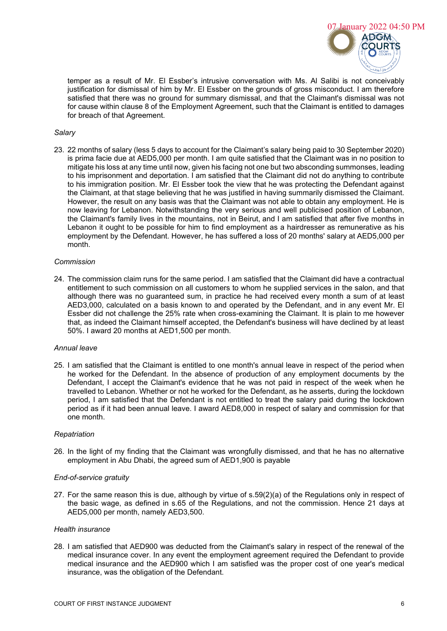

temper as a result of Mr. El Essber's intrusive conversation with Ms. Al Salibi is not conceivably justification for dismissal of him by Mr. El Essber on the grounds of gross misconduct. I am therefore satisfied that there was no ground for summary dismissal, and that the Claimant's dismissal was not for cause within clause 8 of the Employment Agreement, such that the Claimant is entitled to damages for breach of that Agreement.

### *Salary*

23. 22 months of salary (less 5 days to account for the Claimant's salary being paid to 30 September 2020) is prima facie due at AED5,000 per month. I am quite satisfied that the Claimant was in no position to mitigate his loss at any time until now, given his facing not one but two absconding summonses, leading to his imprisonment and deportation. I am satisfied that the Claimant did not do anything to contribute to his immigration position. Mr. El Essber took the view that he was protecting the Defendant against the Claimant, at that stage believing that he was justified in having summarily dismissed the Claimant. However, the result on any basis was that the Claimant was not able to obtain any employment. He is now leaving for Lebanon. Notwithstanding the very serious and well publicised position of Lebanon, the Claimant's family lives in the mountains, not in Beirut, and I am satisfied that after five months in Lebanon it ought to be possible for him to find employment as a hairdresser as remunerative as his employment by the Defendant. However, he has suffered a loss of 20 months' salary at AED5,000 per month.

#### *Commission*

24. The commission claim runs for the same period. I am satisfied that the Claimant did have a contractual entitlement to such commission on all customers to whom he supplied services in the salon, and that although there was no guaranteed sum, in practice he had received every month a sum of at least AED3,000, calculated on a basis known to and operated by the Defendant, and in any event Mr. El Essber did not challenge the 25% rate when cross-examining the Claimant. It is plain to me however that, as indeed the Claimant himself accepted, the Defendant's business will have declined by at least 50%. I award 20 months at AED1,500 per month.

### *Annual leave*

25. I am satisfied that the Claimant is entitled to one month's annual leave in respect of the period when he worked for the Defendant. In the absence of production of any employment documents by the Defendant, I accept the Claimant's evidence that he was not paid in respect of the week when he travelled to Lebanon. Whether or not he worked for the Defendant, as he asserts, during the lockdown period, I am satisfied that the Defendant is not entitled to treat the salary paid during the lockdown period as if it had been annual leave. I award AED8,000 in respect of salary and commission for that one month.

#### *Repatriation*

26. In the light of my finding that the Claimant was wrongfully dismissed, and that he has no alternative employment in Abu Dhabi, the agreed sum of AED1,900 is payable

### *End-of-service gratuity*

27. For the same reason this is due, although by virtue of s.59(2)(a) of the Regulations only in respect of the basic wage, as defined in s.65 of the Regulations, and not the commission. Hence 21 days at AED5,000 per month, namely AED3,500.

### *Health insurance*

28. I am satisfied that AED900 was deducted from the Claimant's salary in respect of the renewal of the medical insurance cover. In any event the employment agreement required the Defendant to provide medical insurance and the AED900 which I am satisfied was the proper cost of one year's medical insurance, was the obligation of the Defendant.